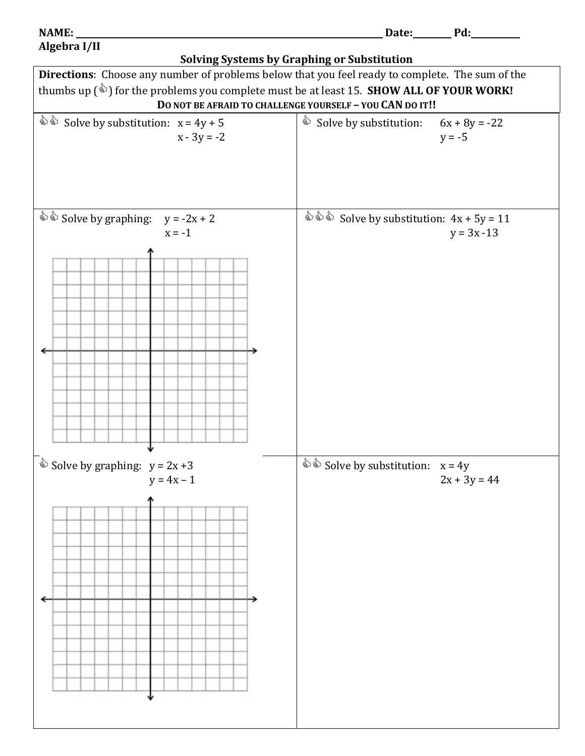## **Algebra I/II**